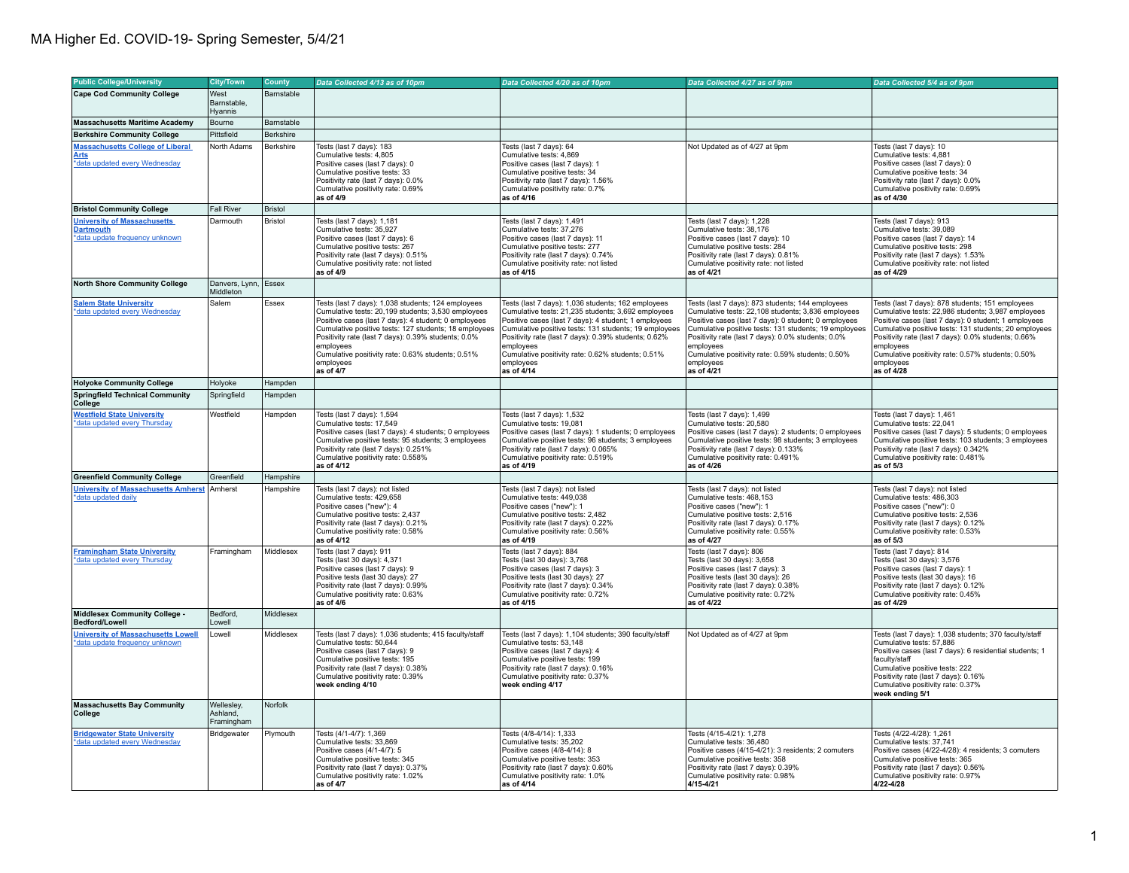| <b>Public College/University</b>                                                         | <b>City/Town</b>                     | <b>County</b>  | Data Collected 4/13 as of 10pm                                                                                                                                                                                                                                                                                                                                               | Data Collected 4/20 as of 10pm                                                                                                                                                                                                                                                                                                                                                 | Data Collected 4/27 as of 9pm                                                                                                                                                                                                                                                                                                                                              | Data Collected 5/4 as of 9pm                                                                                                                                                                                                                                                                                                                                                |
|------------------------------------------------------------------------------------------|--------------------------------------|----------------|------------------------------------------------------------------------------------------------------------------------------------------------------------------------------------------------------------------------------------------------------------------------------------------------------------------------------------------------------------------------------|--------------------------------------------------------------------------------------------------------------------------------------------------------------------------------------------------------------------------------------------------------------------------------------------------------------------------------------------------------------------------------|----------------------------------------------------------------------------------------------------------------------------------------------------------------------------------------------------------------------------------------------------------------------------------------------------------------------------------------------------------------------------|-----------------------------------------------------------------------------------------------------------------------------------------------------------------------------------------------------------------------------------------------------------------------------------------------------------------------------------------------------------------------------|
| Cape Cod Community College                                                               | West                                 | Barnstable     |                                                                                                                                                                                                                                                                                                                                                                              |                                                                                                                                                                                                                                                                                                                                                                                |                                                                                                                                                                                                                                                                                                                                                                            |                                                                                                                                                                                                                                                                                                                                                                             |
|                                                                                          | Barnstable,<br>Hyannis               |                |                                                                                                                                                                                                                                                                                                                                                                              |                                                                                                                                                                                                                                                                                                                                                                                |                                                                                                                                                                                                                                                                                                                                                                            |                                                                                                                                                                                                                                                                                                                                                                             |
| <b>Massachusetts Maritime Academy</b>                                                    | Bourne                               | Barnstable     |                                                                                                                                                                                                                                                                                                                                                                              |                                                                                                                                                                                                                                                                                                                                                                                |                                                                                                                                                                                                                                                                                                                                                                            |                                                                                                                                                                                                                                                                                                                                                                             |
| <b>Berkshire Community College</b>                                                       | Pittsfield                           | Berkshire      |                                                                                                                                                                                                                                                                                                                                                                              |                                                                                                                                                                                                                                                                                                                                                                                |                                                                                                                                                                                                                                                                                                                                                                            |                                                                                                                                                                                                                                                                                                                                                                             |
| <b>Massachusetts College of Liberal</b><br><b>Arts</b><br>*data updated every Wednesday  | North Adams                          | Berkshire      | Tests (last 7 days): 183<br>Cumulative tests: 4,805<br>Positive cases (last 7 days): 0<br>Cumulative positive tests: 33<br>Positivity rate (last 7 days): 0.0%<br>Cumulative positivity rate: 0.69%<br>as of 4/9                                                                                                                                                             | Tests (last 7 days): 64<br>Cumulative tests: 4,869<br>Positive cases (last 7 days): 1<br>Cumulative positive tests: 34<br>Positivity rate (last 7 days): 1.56%<br>Cumulative positivity rate: 0.7%<br>as of 4/16                                                                                                                                                               | Not Updated as of 4/27 at 9pm                                                                                                                                                                                                                                                                                                                                              | Tests (last 7 days): 10<br>Cumulative tests: 4,881<br>Positive cases (last 7 days): 0<br>Cumulative positive tests: 34<br>Positivity rate (last 7 days): 0.0%<br>Cumulative positivity rate: 0.69%<br>as of 4/30                                                                                                                                                            |
| <b>Bristol Community College</b>                                                         | <b>Fall River</b>                    | <b>Bristol</b> |                                                                                                                                                                                                                                                                                                                                                                              |                                                                                                                                                                                                                                                                                                                                                                                |                                                                                                                                                                                                                                                                                                                                                                            |                                                                                                                                                                                                                                                                                                                                                                             |
| <b>University of Massachusetts</b><br><b>Dartmouth</b><br>*data update frequency unknown | Darmouth                             | Bristol        | Tests (last 7 days): 1,181<br>Cumulative tests: 35.927<br>Positive cases (last 7 days): 6<br>Cumulative positive tests: 267<br>Positivity rate (last 7 days): 0.51%<br>Cumulative positivity rate: not listed<br>as of 4/9                                                                                                                                                   | Tests (last 7 days): 1,491<br>Cumulative tests: 37.276<br>Positive cases (last 7 days): 11<br>Cumulative positive tests: 277<br>Positivity rate (last 7 days): 0.74%<br>Cumulative positivity rate: not listed<br>as of 4/15                                                                                                                                                   | Tests (last 7 days): 1,228<br>Cumulative tests: 38.176<br>Positive cases (last 7 days): 10<br>Cumulative positive tests: 284<br>Positivity rate (last 7 days): 0.81%<br>Cumulative positivity rate: not listed<br>as of 4/21                                                                                                                                               | Tests (last 7 days): 913<br>Cumulative tests: 39.089<br>Positive cases (last 7 days): 14<br>Cumulative positive tests: 298<br>Positivity rate (last 7 days): 1.53%<br>Cumulative positivity rate: not listed<br>as of 4/29                                                                                                                                                  |
| <b>North Shore Community College</b>                                                     | Danvers, Lynn,<br>Middleton          | Essex          |                                                                                                                                                                                                                                                                                                                                                                              |                                                                                                                                                                                                                                                                                                                                                                                |                                                                                                                                                                                                                                                                                                                                                                            |                                                                                                                                                                                                                                                                                                                                                                             |
| <b>Salem State University</b><br>*data updated every Wednesday                           | Salem                                | Essex          | Tests (last 7 days): 1,038 students; 124 employees<br>Cumulative tests: 20,199 students; 3,530 employees<br>Positive cases (last 7 days): 4 student; 0 employees<br>Cumulative positive tests: 127 students; 18 employees<br>Positivity rate (last 7 days): 0.39% students; 0.0%<br>employees<br>Cumulative positivity rate: 0.63% students; 0.51%<br>employees<br>as of 4/7 | Tests (last 7 days): 1,036 students; 162 employees<br>Cumulative tests: 21,235 students; 3,692 employees<br>Positive cases (last 7 days): 4 student; 1 employees<br>Cumulative positive tests: 131 students; 19 employees<br>Positivity rate (last 7 days): 0.39% students; 0.62%<br>employees<br>Cumulative positivity rate: 0.62% students; 0.51%<br>employees<br>as of 4/14 | Tests (last 7 days): 873 students; 144 employees<br>Cumulative tests: 22,108 students; 3,836 employees<br>Positive cases (last 7 days): 0 student; 0 employees<br>Cumulative positive tests: 131 students; 19 employees<br>Positivity rate (last 7 days): 0.0% students; 0.0%<br>employees<br>Cumulative positivity rate: 0.59% students; 0.50%<br>employees<br>as of 4/21 | Tests (last 7 days): 878 students; 151 employees<br>Cumulative tests: 22,986 students; 3,987 employees<br>Positive cases (last 7 days): 0 student; 1 employees<br>Cumulative positive tests: 131 students; 20 employees<br>Positivity rate (last 7 days): 0.0% students; 0.66%<br>employees<br>Cumulative positivity rate: 0.57% students; 0.50%<br>employees<br>as of 4/28 |
| <b>Holyoke Community College</b>                                                         | Holyoke                              | Hampden        |                                                                                                                                                                                                                                                                                                                                                                              |                                                                                                                                                                                                                                                                                                                                                                                |                                                                                                                                                                                                                                                                                                                                                                            |                                                                                                                                                                                                                                                                                                                                                                             |
| <b>Springfield Technical Community</b><br>College                                        | Springfield                          | Hampden        |                                                                                                                                                                                                                                                                                                                                                                              |                                                                                                                                                                                                                                                                                                                                                                                |                                                                                                                                                                                                                                                                                                                                                                            |                                                                                                                                                                                                                                                                                                                                                                             |
| <b>Westfield State University</b><br>*data updated every Thursday                        | Westfield                            | Hampden        | Tests (last 7 days): 1,594<br>Cumulative tests: 17,549<br>Positive cases (last 7 days): 4 students; 0 employees<br>Cumulative positive tests: 95 students; 3 employees<br>Positivity rate (last 7 days): 0.251%<br>Cumulative positivity rate: 0.558%<br>as of 4/12                                                                                                          | Tests (last 7 days): 1,532<br>Cumulative tests: 19,081<br>Positive cases (last 7 days): 1 students; 0 employees<br>Cumulative positive tests: 96 students; 3 employees<br>Positivity rate (last 7 days): 0.065%<br>Cumulative positivity rate: 0.519%<br>as of 4/19                                                                                                            | Tests (last 7 days): 1,499<br>Cumulative tests: 20,580<br>Positive cases (last 7 days): 2 students; 0 employees<br>Cumulative positive tests: 98 students; 3 employees<br>Positivity rate (last 7 days): 0.133%<br>Cumulative positivity rate: 0.491%<br>as of 4/26                                                                                                        | Tests (last 7 days): 1,461<br>Cumulative tests: 22,041<br>Positive cases (last 7 days): 5 students; 0 employees<br>Cumulative positive tests: 103 students; 3 employees<br>Positivity rate (last 7 days): 0.342%<br>Cumulative positivity rate: 0.481%<br>as of 5/3                                                                                                         |
| <b>Greenfield Community College</b>                                                      | Greenfield                           | Hampshire      |                                                                                                                                                                                                                                                                                                                                                                              |                                                                                                                                                                                                                                                                                                                                                                                |                                                                                                                                                                                                                                                                                                                                                                            |                                                                                                                                                                                                                                                                                                                                                                             |
| <b>University of Massachusetts Amherst</b><br>*data updated daily                        | Amherst                              | Hampshire      | Tests (last 7 days): not listed<br>Cumulative tests: 429,658<br>Positive cases ("new"): 4<br>Cumulative positive tests: 2,437<br>Positivity rate (last 7 days): 0.21%<br>Cumulative positivity rate: 0.58%<br>as of 4/12                                                                                                                                                     | Tests (last 7 days): not listed<br>Cumulative tests: 449,038<br>Positive cases ("new"): 1<br>Cumulative positive tests: 2,482<br>Positivity rate (last 7 days): 0.22%<br>Cumulative positivity rate: 0.56%<br>as of 4/19                                                                                                                                                       | Tests (last 7 days): not listed<br>Cumulative tests: 468,153<br>Positive cases ("new"): 1<br>Cumulative positive tests: 2,516<br>Positivity rate (last 7 days): 0.17%<br>Cumulative positivity rate: 0.55%<br>as of 4/27                                                                                                                                                   | Tests (last 7 days): not listed<br>Cumulative tests: 486,303<br>Positive cases ("new"): 0<br>Cumulative positive tests: 2,536<br>Positivity rate (last 7 days): 0.12%<br>Cumulative positivity rate: 0.53%<br>as of 5/3                                                                                                                                                     |
| <b>Framingham State University</b><br>*data updated every Thursday                       | Framingham                           | Middlesex      | Tests (last 7 days): 911<br>Tests (last 30 days): 4,371<br>Positive cases (last 7 days): 9<br>Positive tests (last 30 days): 27<br>Positivity rate (last 7 days): 0.99%<br>Cumulative positivity rate: 0.63%<br>as of 4/6                                                                                                                                                    | Tests (last 7 days): 884<br>Tests (last 30 days): 3,768<br>Positive cases (last 7 days): 3<br>Positive tests (last 30 days): 27<br>Positivity rate (last 7 days): 0.34%<br>Cumulative positivity rate: 0.72%<br>as of 4/15                                                                                                                                                     | Tests (last 7 days): 806<br>Tests (last 30 days): 3,658<br>Positive cases (last 7 days): 3<br>Positive tests (last 30 days): 26<br>Positivity rate (last 7 days): 0.38%<br>Cumulative positivity rate: 0.72%<br>as of 4/22                                                                                                                                                 | Tests (last 7 days): 814<br>Tests (last 30 days): 3,576<br>Positive cases (last 7 days): 1<br>Positive tests (last 30 days): 16<br>Positivity rate (last 7 days): 0.12%<br>Cumulative positivity rate: 0.45%<br>as of 4/29                                                                                                                                                  |
| <b>Middlesex Community College -</b><br><b>Bedford/Lowell</b>                            | Bedford.<br>Lowell                   | Middlesex      |                                                                                                                                                                                                                                                                                                                                                                              |                                                                                                                                                                                                                                                                                                                                                                                |                                                                                                                                                                                                                                                                                                                                                                            |                                                                                                                                                                                                                                                                                                                                                                             |
| <b>University of Massachusetts Lowell</b><br>*data update frequency unknown              | Lowell                               | Middlesex      | Tests (last 7 days): 1,036 students; 415 faculty/staff<br>Cumulative tests: 50,644<br>Positive cases (last 7 days): 9<br>Cumulative positive tests: 195<br>Positivity rate (last 7 days): 0.38%<br>Cumulative positivity rate: 0.39%<br>week ending 4/10                                                                                                                     | Tests (last 7 days): 1,104 students; 390 faculty/staff<br>Cumulative tests: 53.148<br>Positive cases (last 7 days): 4<br>Cumulative positive tests: 199<br>Positivity rate (last 7 days): 0.16%<br>Cumulative positivity rate: 0.37%<br>week ending 4/17                                                                                                                       | Not Updated as of 4/27 at 9pm                                                                                                                                                                                                                                                                                                                                              | Tests (last 7 days): 1,038 students; 370 faculty/staff<br>Cumulative tests: 57.886<br>Positive cases (last 7 days): 6 residential students; 1<br>faculty/staff<br>Cumulative positive tests: 222<br>Positivity rate (last 7 days): 0.16%<br>Cumulative positivity rate: 0.37%<br>week ending 5/1                                                                            |
| <b>Massachusetts Bay Community</b><br><b>College</b>                                     | Wellesley,<br>Ashland.<br>Framingham | Norfolk        |                                                                                                                                                                                                                                                                                                                                                                              |                                                                                                                                                                                                                                                                                                                                                                                |                                                                                                                                                                                                                                                                                                                                                                            |                                                                                                                                                                                                                                                                                                                                                                             |
| <b>Bridgewater State University</b><br>*data updated every Wednesday                     | Bridgewater                          | Plymouth       | Tests (4/1-4/7): 1,369<br>Cumulative tests: 33,869<br>Positive cases (4/1-4/7): 5<br>Cumulative positive tests: 345<br>Positivity rate (last 7 days): 0.37%<br>Cumulative positivity rate: 1.02%<br>as of 4/7                                                                                                                                                                | Tests (4/8-4/14): 1,333<br>Cumulative tests: 35,202<br>Positive cases (4/8-4/14): 8<br>Cumulative positive tests: 353<br>Positivity rate (last 7 days): 0.60%<br>Cumulative positivity rate: 1.0%<br>as of 4/14                                                                                                                                                                | Tests (4/15-4/21): 1,278<br>Cumulative tests: 36,480<br>Positive cases (4/15-4/21): 3 residents; 2 comuters<br>Cumulative positive tests: 358<br>Positivity rate (last 7 days): 0.39%<br>Cumulative positivity rate: 0.98%<br>4/15-4/21                                                                                                                                    | Tests (4/22-4/28): 1,261<br>Cumulative tests: 37,741<br>Positive cases (4/22-4/28): 4 residents; 3 comuters<br>Cumulative positive tests: 365<br>Positivity rate (last 7 days): 0.56%<br>Cumulative positivity rate: 0.97%<br>4/22-4/28                                                                                                                                     |